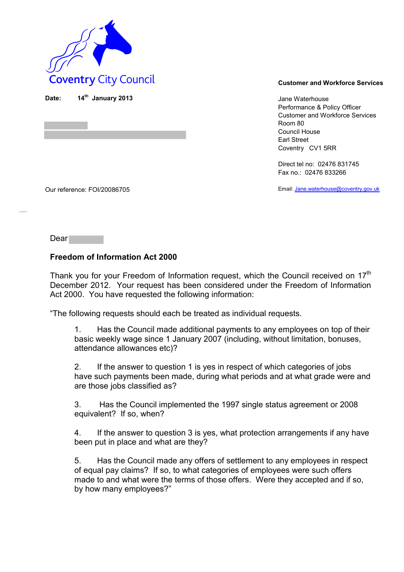

**th January 2013** Jane Waterhouse Performance & Policy Officer Customer and Workforce Services Room 80 Council House Earl Street Coventry CV1 5RR

> Direct tel no: 02476 831745 Fax no.: 02476 833266

Email: Jane.waterhouse@coventry.gov.uk

Our reference: FOI/20086705

Dear<sup>1</sup>

Date:

### **Freedom of Information Act 2000**

Thank you for your Freedom of Information request, which the Council received on 17<sup>th</sup> December 2012. Your request has been considered under the Freedom of Information Act 2000. You have requested the following information:

"The following requests should each be treated as individual requests.

1. Has the Council made additional payments to any employees on top of their basic weekly wage since 1 January 2007 (including, without limitation, bonuses, attendance allowances etc)?

2. If the answer to question 1 is yes in respect of which categories of jobs have such payments been made, during what periods and at what grade were and are those jobs classified as?

3. Has the Council implemented the 1997 single status agreement or 2008 equivalent? If so, when?

4. If the answer to question 3 is yes, what protection arrangements if any have been put in place and what are they?

5. Has the Council made any offers of settlement to any employees in respect of equal pay claims? If so, to what categories of employees were such offers made to and what were the terms of those offers. Were they accepted and if so, by how many employees?"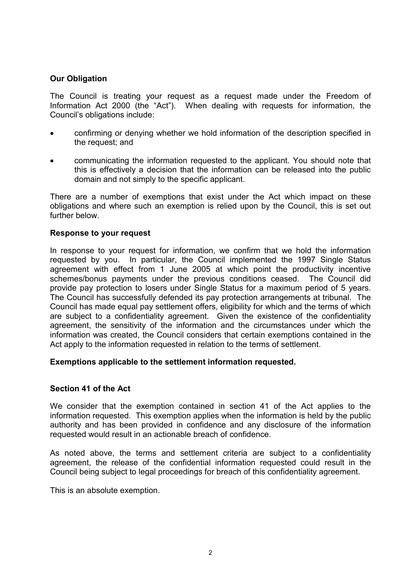### **Our Obligation**

The Council is treating your request as a request made under the Freedom of Information Act 2000 (the "Act"). When dealing with requests for information, the Council's obligations include:

- confirming or denying whether we hold information of the description specified in the request; and
- communicating the information requested to the applicant. You should note that this is effectively a decision that the information can be released into the public domain and not simply to the specific applicant.

There are a number of exemptions that exist under the Act which impact on these obligations and where such an exemption is relied upon by the Council, this is set out further below.

### **Response to your request**

In response to your request for information, we confirm that we hold the information requested by you. In particular, the Council implemented the 1997 Single Status agreement with effect from 1 June 2005 at which point the productivity incentive schemes/bonus payments under the previous conditions ceased. The Council did provide pay protection to losers under Single Status for a maximum period of 5 years. The Council has successfully defended its pay protection arrangements at tribunal. The Council has made equal pay settlement offers, eligibility for which and the terms of which are subject to a confidentiality agreement. Given the existence of the confidentiality agreement, the sensitivity of the information and the circumstances under which the information was created, the Council considers that certain exemptions contained in the Act apply to the information requested in relation to the terms of settlement.

### **Exemptions applicable to the settlement information requested.**

### **Section 41 of the Act**

We consider that the exemption contained in section 41 of the Act applies to the information requested. This exemption applies when the information is held by the public authority and has been provided in confidence and any disclosure of the information requested would result in an actionable breach of confidence.

As noted above, the terms and settlement criteria are subject to a confidentiality agreement, the release of the confidential information requested could result in the Council being subject to legal proceedings for breach of this confidentiality agreement.

This is an absolute exemption.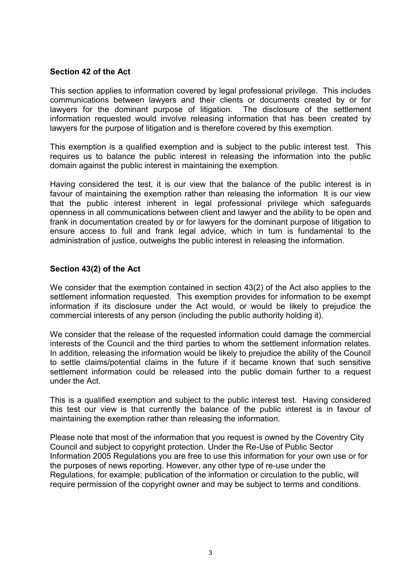# **Section 42 of the Act**

This section applies to information covered by legal professional privilege. This includes communications between lawyers and their clients or documents created by or for lawyers for the dominant purpose of litigation. information requested would involve releasing information that has been created by lawyers for the purpose of litigation and is therefore covered by this exemption.

This exemption is a qualified exemption and is subject to the public interest test. This requires us to balance the public interest in releasing the information into the public domain against the public interest in maintaining the exemption.

Having considered the test, it is our view that the balance of the public interest is in favour of maintaining the exemption rather than releasing the information It is our view that the public interest inherent in legal professional privilege which safeguards openness in all communications between client and lawyer and the ability to be open and frank in documentation created by or for lawyers for the dominant purpose of litigation to ensure access to full and frank legal advice, which in turn is fundamental to the administration of justice, outweighs the public interest in releasing the information.

# **Section 43(2) of the Act**

We consider that the exemption contained in section 43(2) of the Act also applies to the settlement information requested. This exemption provides for information to be exempt information if its disclosure under the Act would, or would be likely to prejudice the commercial interests of any person (including the public authority holding it).

We consider that the release of the requested information could damage the commercial interests of the Council and the third parties to whom the settlement information relates. In addition, releasing the information would be likely to prejudice the ability of the Council to settle claims/potential claims in the future if it became known that such sensitive settlement information could be released into the public domain further to a request under the Act.

This is a qualified exemption and subject to the public interest test. Having considered this test our view is that currently the balance of the public interest is in favour of maintaining the exemption rather than releasing the information.

Please note that most of the information that you request is owned by the Coventry City Council and subject to copyright protection. Under the Re-Use of Public Sector Information 2005 Regulations you are free to use this information for your own use or for the purposes of news reporting. However, any other type of re-use under the Regulations, for example; publication of the information or circulation to the public, will require permission of the copyright owner and may be subject to terms and conditions.